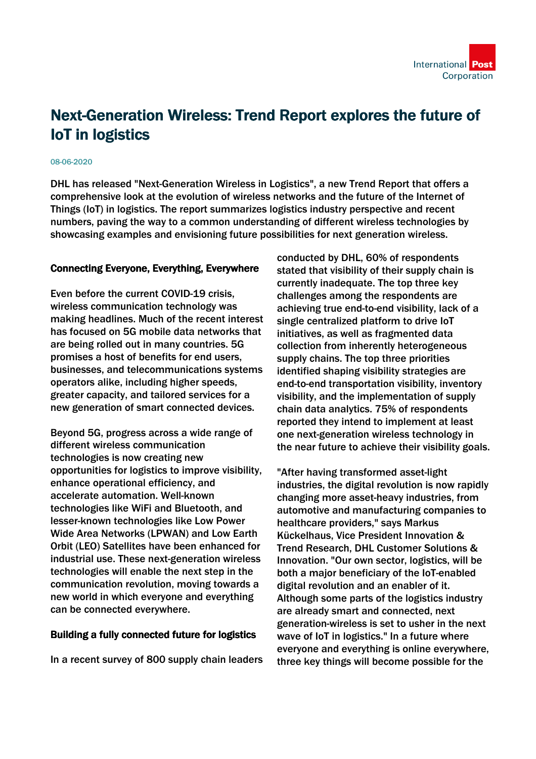## Next-Generation Wireless: Trend Report explores the future of IoT in logistics

## 08-06-2020

DHL has released "Next-Generation Wireless in Logistics", a new Trend Report that offers a comprehensive look at the evolution of wireless networks and the future of the Internet of Things (IoT) in logistics. The report summarizes logistics industry perspective and recent numbers, paving the way to a common understanding of different wireless technologies by showcasing examples and envisioning future possibilities for next generation wireless.

## Connecting Everyone, Everything, Everywhere

Even before the current COVID-19 crisis, wireless communication technology was making headlines. Much of the recent interest has focused on 5G mobile data networks that are being rolled out in many countries. 5G promises a host of benefits for end users, businesses, and telecommunications systems operators alike, including higher speeds, greater capacity, and tailored services for a new generation of smart connected devices.

Beyond 5G, progress across a wide range of different wireless communication technologies is now creating new opportunities for logistics to improve visibility, enhance operational efficiency, and accelerate automation. Well-known technologies like WiFi and Bluetooth, and lesser-known technologies like Low Power Wide Area Networks (LPWAN) and Low Earth Orbit (LEO) Satellites have been enhanced for industrial use. These next-generation wireless technologies will enable the next step in the communication revolution, moving towards a new world in which everyone and everything can be connected everywhere.

## Building a fully connected future for logistics

In a recent survey of 800 supply chain leaders

conducted by DHL, 60% of respondents stated that visibility of their supply chain is currently inadequate. The top three key challenges among the respondents are achieving true end-to-end visibility, lack of a single centralized platform to drive IoT initiatives, as well as fragmented data collection from inherently heterogeneous supply chains. The top three priorities identified shaping visibility strategies are end-to-end transportation visibility, inventory visibility, and the implementation of supply chain data analytics. 75% of respondents reported they intend to implement at least one next-generation wireless technology in the near future to achieve their visibility goals.

"After having transformed asset-light industries, the digital revolution is now rapidly changing more asset-heavy industries, from automotive and manufacturing companies to healthcare providers," says Markus Kückelhaus, Vice President Innovation & Trend Research, DHL Customer Solutions & Innovation. "Our own sector, logistics, will be both a major beneficiary of the IoT-enabled digital revolution and an enabler of it. Although some parts of the logistics industry are already smart and connected, next generation-wireless is set to usher in the next wave of IoT in logistics." In a future where everyone and everything is online everywhere, three key things will become possible for the